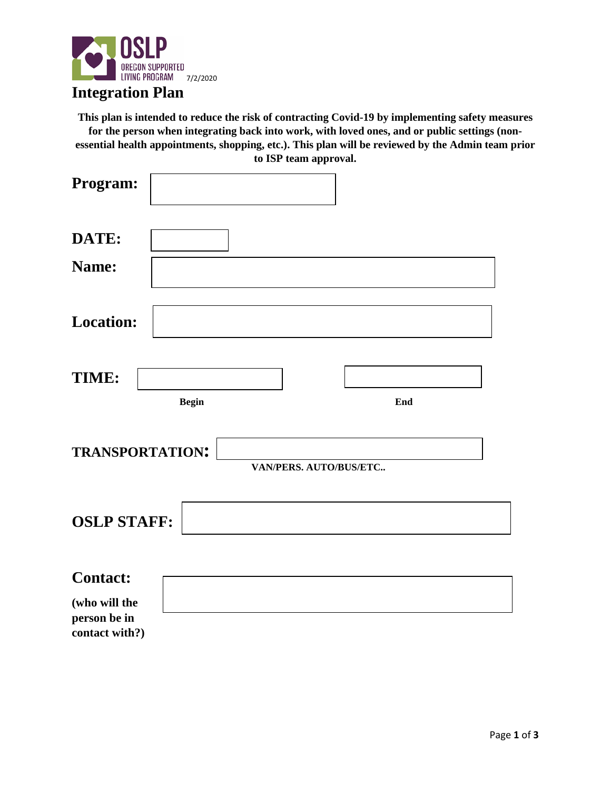

## **Integration Plan**

**This plan is intended to reduce the risk of contracting Covid-19 by implementing safety measures for the person when integrating back into work, with loved ones, and or public settings (nonessential health appointments, shopping, etc.). This plan will be reviewed by the Admin team prior to ISP team approval.** 

| Program:                                                           |              |                        |     |
|--------------------------------------------------------------------|--------------|------------------------|-----|
| DATE:<br>Name:                                                     |              |                        |     |
| <b>Location:</b>                                                   |              |                        |     |
| TIME:                                                              | <b>Begin</b> |                        | End |
| <b>TRANSPORTATION:</b>                                             |              | VAN/PERS. AUTO/BUS/ETC |     |
| <b>OSLP STAFF:</b>                                                 |              |                        |     |
| <b>Contact:</b><br>(who will the<br>person be in<br>contact with?) |              |                        |     |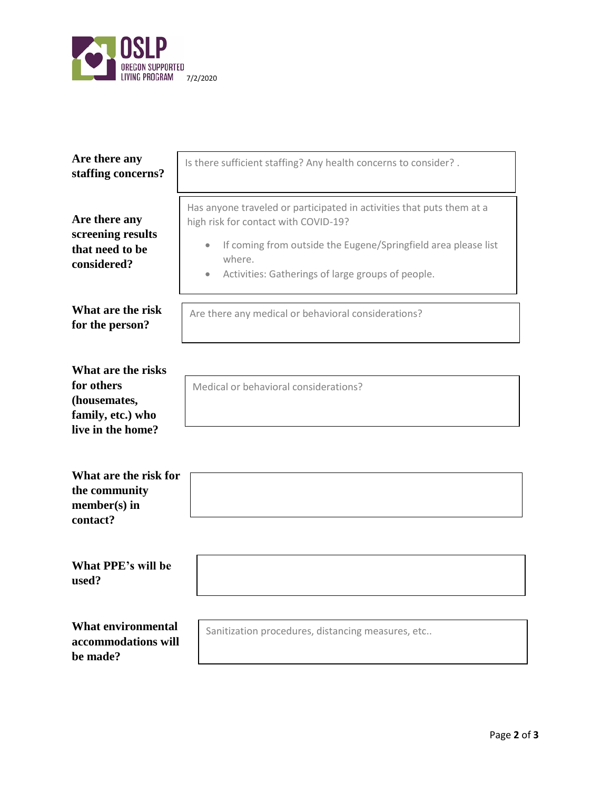

**be made?** 

| Are there any<br>staffing concerns?                                                        | Is there sufficient staffing? Any health concerns to consider? .                                                                                                                                                                                            |  |  |  |  |
|--------------------------------------------------------------------------------------------|-------------------------------------------------------------------------------------------------------------------------------------------------------------------------------------------------------------------------------------------------------------|--|--|--|--|
| Are there any<br>screening results<br>that need to be<br>considered?                       | Has anyone traveled or participated in activities that puts them at a<br>high risk for contact with COVID-19?<br>If coming from outside the Eugene/Springfield area please list<br>where.<br>Activities: Gatherings of large groups of people.<br>$\bullet$ |  |  |  |  |
| What are the risk<br>for the person?                                                       | Are there any medical or behavioral considerations?                                                                                                                                                                                                         |  |  |  |  |
| What are the risks<br>for others<br>(housemates,<br>family, etc.) who<br>live in the home? | Medical or behavioral considerations?                                                                                                                                                                                                                       |  |  |  |  |
| What are the risk for<br>the community<br>$member(s)$ in<br>contact?                       |                                                                                                                                                                                                                                                             |  |  |  |  |
| What PPE's will be<br>used?                                                                |                                                                                                                                                                                                                                                             |  |  |  |  |
| <b>What environmental</b><br>accommodations will                                           | Sanitization procedures, distancing measures, etc                                                                                                                                                                                                           |  |  |  |  |